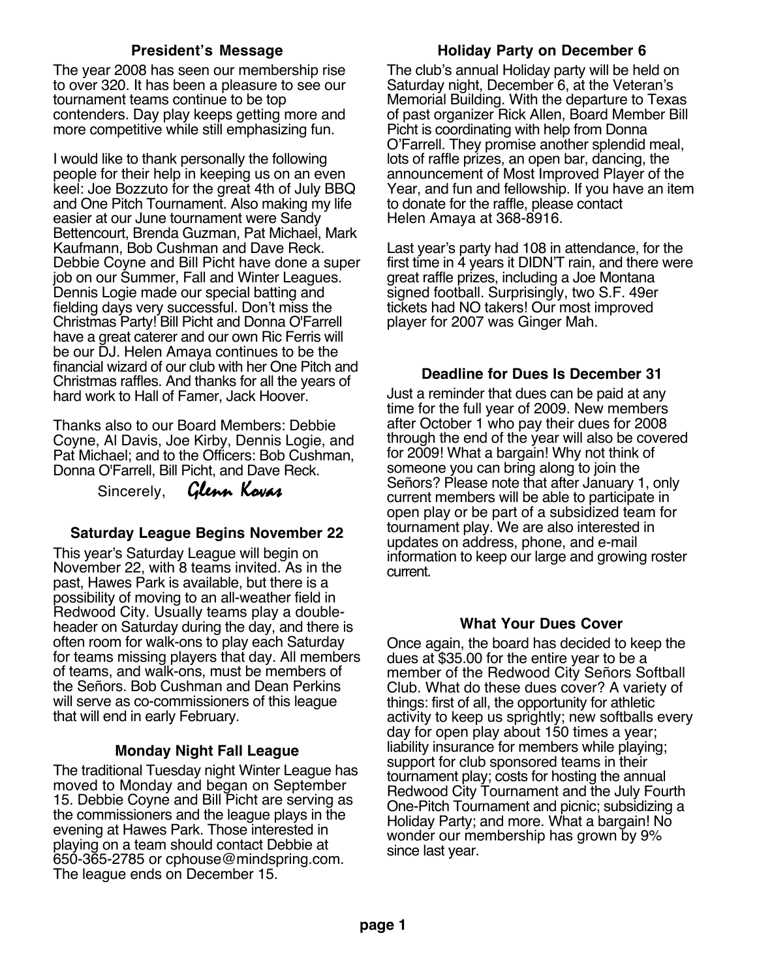## **President's Message**

The year 2008 has seen our membership rise to over 320. It has been a pleasure to see our tournament teams continue to be top contenders. Day play keeps getting more and more competitive while still emphasizing fun.

I would like to thank personally the following people for their help in keeping us on an even keel: Joe Bozzuto for the great 4th of July BBQ and One Pitch Tournament. Also making my life easier at our June tournament were Sandy Bettencourt, Brenda Guzman, Pat Michael, Mark Kaufmann, Bob Cushman and Dave Reck. Debbie Coyne and Bill Picht have done a super job on our Summer, Fall and Winter Leagues. Dennis Logie made our special batting and fielding days very successful. Don't miss the Christmas Party! Bill Picht and Donna O'Farrell have a great caterer and our own Ric Ferris will be our DJ. Helen Amaya continues to be the financial wizard of our club with her One Pitch and Christmas raffles. And thanks for all the years of hard work to Hall of Famer, Jack Hoover.

Thanks also to our Board Members: Debbie Coyne, Al Davis, Joe Kirby, Dennis Logie, and Pat Michael; and to the Officers: Bob Cushman, Donna O'Farrell, Bill Picht, and Dave Reck.

Sincerely,Glenn Kovas

# **Saturday League Begins November 22**

This year's Saturday League will begin on November 22, with 8 teams invited. As in the past, Hawes Park is available, but there is a possibility of moving to an all-weather field in Redwood City. Usually teams play a doubleheader on Saturday during the day, and there is often room for walk-ons to play each Saturday for teams missing players that day. All members of teams, and walk-ons, must be members of the Señors. Bob Cushman and Dean Perkins will serve as co-commissioners of this league that will end in early February.

### **Monday Night Fall League**

The traditional Tuesday night Winter League has moved to Monday and began on September 15. Debbie Coyne and Bill Picht are serving as the commissioners and the league plays in the evening at Hawes Park. Those interested in playing on a team should contact Debbie at 650-365-2785 or cphouse@mindspring.com. The league ends on December 15.

## **Holiday Party on December 6**

The club's annual Holiday party will be held on Saturday night, December 6, at the Veteran's Memorial Building. With the departure to Texas of past organizer Rick Allen, Board Member Bill Picht is coordinating with help from Donna O'Farrell. They promise another splendid meal, lots of raffle prizes, an open bar, dancing, the announcement of Most Improved Player of the Year, and fun and fellowship. If you have an item to donate for the raffle, please contact Helen Amaya at 368-8916.

Last year's party had 108 in attendance, for the first time in 4 years it DIDN'T rain, and there were great raffle prizes, including a Joe Montana signed football. Surprisingly, two S.F. 49er tickets had NO takers! Our most improved player for 2007 was Ginger Mah.

# **Deadline for Dues Is December 31**

Just a reminder that dues can be paid at any time for the full year of 2009. New members after October 1 who pay their dues for 2008 through the end of the year will also be covered for 2009! What a bargain! Why not think of someone you can bring along to join the Señors? Please note that after January 1, only current members will be able to participate in open play or be part of a subsidized team for tournament play. We are also interested in updates on address, phone, and e-mail information to keep our large and growing roster current.

### **What Your Dues Cover**

Once again, the board has decided to keep the dues at \$35.00 for the entire year to be a member of the Redwood City Señors Softball Club. What do these dues cover? A variety of things: first of all, the opportunity for athletic activity to keep us sprightly; new softballs every day for open play about 150 times a year; liability insurance for members while playing; support for club sponsored teams in their tournament play; costs for hosting the annual Redwood City Tournament and the July Fourth One-Pitch Tournament and picnic; subsidizing a Holiday Party; and more. What a bargain! No wonder our membership has grown by 9% since last year.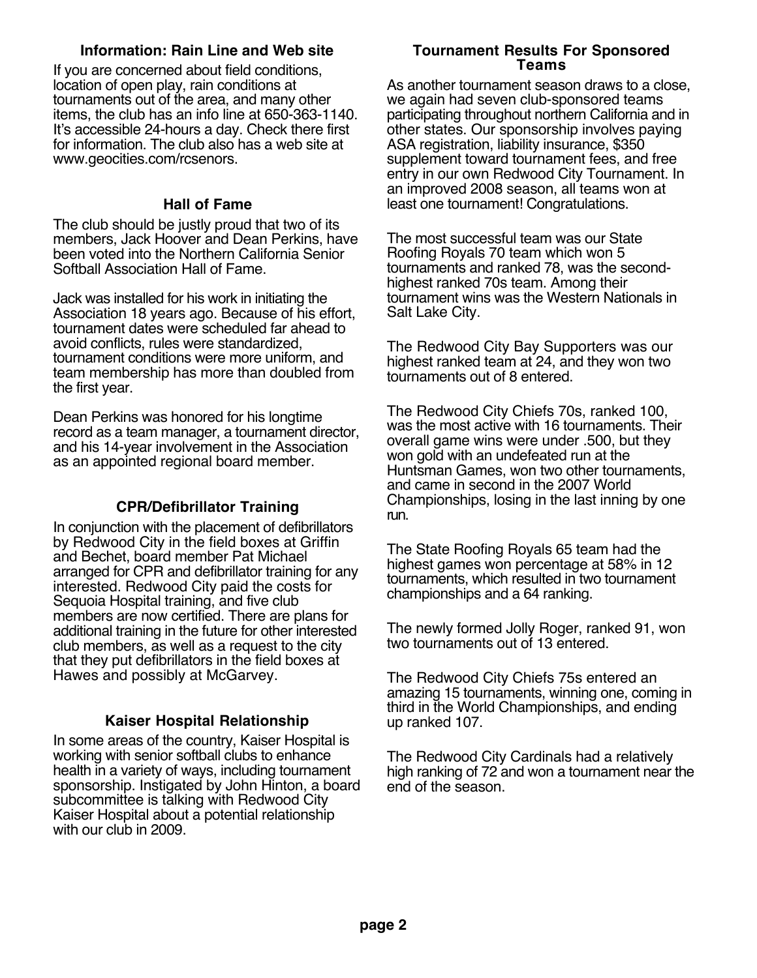## **Information: Rain Line and Web site**

If you are concerned about field conditions, location of open play, rain conditions at tournaments out of the area, and many other items, the club has an info line at 650-363-1140. It's accessible 24-hours a day. Check there first for information. The club also has a web site at www.geocities.com/rcsenors.

### **Hall of Fame**

The club should be justly proud that two of its members, Jack Hoover and Dean Perkins, have been voted into the Northern California Senior Softball Association Hall of Fame.

Jack was installed for his work in initiating the Association 18 years ago. Because of his effort, tournament dates were scheduled far ahead to avoid conflicts, rules were standardized, tournament conditions were more uniform, and team membership has more than doubled from the first year.

Dean Perkins was honored for his longtime record as a team manager, a tournament director, and his 14-year involvement in the Association as an appointed regional board member.

# **CPR/Defibrillator Training**

In conjunction with the placement of defibrillators by Redwood City in the field boxes at Griffin and Bechet, board member Pat Michael arranged for CPR and defibrillator training for any interested. Redwood City paid the costs for Sequoia Hospital training, and five club members are now certified. There are plans for additional training in the future for other interested club members, as well as a request to the city that they put defibrillators in the field boxes at Hawes and possibly at McGarvey.

# **Kaiser Hospital Relationship**

In some areas of the country, Kaiser Hospital is working with senior softball clubs to enhance health in a variety of ways, including tournament sponsorship. Instigated by John Hinton, a board subcommittee is talking with Redwood City Kaiser Hospital about a potential relationship with our club in 2009.

### **Tournament Results For Sponsored Teams**

As another tournament season draws to a close, we again had seven club-sponsored teams participating throughout northern California and in other states. Our sponsorship involves paying ASA registration, liability insurance, \$350 supplement toward tournament fees, and free entry in our own Redwood City Tournament. In an improved 2008 season, all teams won at least one tournament! Congratulations.

The most successful team was our State Roofing Royals 70 team which won 5 tournaments and ranked 78, was the secondhighest ranked 70s team. Among their tournament wins was the Western Nationals in Salt Lake City.

The Redwood City Bay Supporters was our highest ranked team at 24, and they won two tournaments out of 8 entered.

The Redwood City Chiefs 70s, ranked 100, was the most active with 16 tournaments. Their overall game wins were under .500, but they won gold with an undefeated run at the Huntsman Games, won two other tournaments, and came in second in the 2007 World Championships, losing in the last inning by one run.

The State Roofing Royals 65 team had the highest games won percentage at 58% in 12 tournaments, which resulted in two tournament championships and a 64 ranking.

The newly formed Jolly Roger, ranked 91, won two tournaments out of 13 entered.

The Redwood City Chiefs 75s entered an amazing 15 tournaments, winning one, coming in third in the World Championships, and ending up ranked 107.

The Redwood City Cardinals had a relatively high ranking of 72 and won a tournament near the end of the season.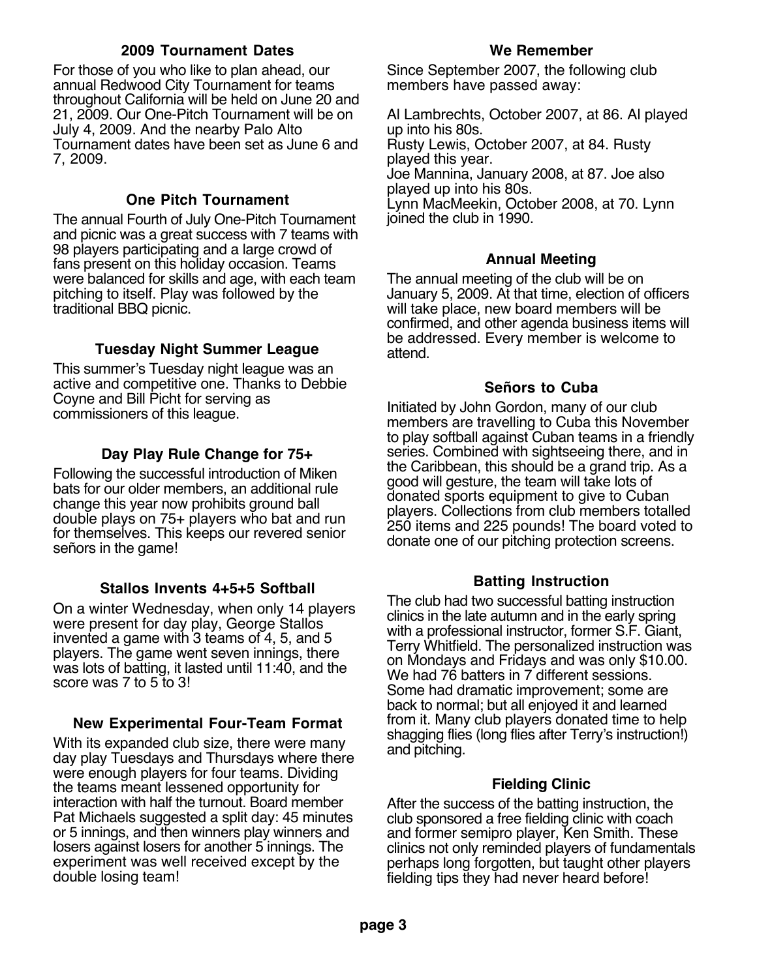## **2009 Tournament Dates**

For those of you who like to plan ahead, our annual Redwood City Tournament for teams throughout California will be held on June 20 and 21, 2009. Our One-Pitch Tournament will be on July 4, 2009. And the nearby Palo Alto Tournament dates have been set as June 6 and 7, 2009.

## **One Pitch Tournament**

The annual Fourth of July One-Pitch Tournament and picnic was a great success with 7 teams with 98 players participating and a large crowd of fans present on this holiday occasion. Teams were balanced for skills and age, with each team pitching to itself. Play was followed by the traditional BBQ picnic.

## **Tuesday Night Summer League**

This summer's Tuesday night league was an active and competitive one. Thanks to Debbie Coyne and Bill Picht for serving as commissioners of this league.

### **Day Play Rule Change for 75+**

Following the successful introduction of Miken bats for our older members, an additional rule change this year now prohibits ground ball double plays on 75+ players who bat and run for themselves. This keeps our revered senior señors in the game!

### **Stallos Invents 4+5+5 Softball**

On a winter Wednesday, when only 14 players were present for day play, George Stallos invented a game with 3 teams of 4, 5, and 5 players. The game went seven innings, there was lots of batting, it lasted until 11:40, and the score was 7 to 5 to 3!

### **New Experimental Four-Team Format**

With its expanded club size, there were many day play Tuesdays and Thursdays where there were enough players for four teams. Dividing the teams meant lessened opportunity for interaction with half the turnout. Board member Pat Michaels suggested a split day: 45 minutes or 5 innings, and then winners play winners and losers against losers for another 5 innings. The experiment was well received except by the double losing team!

#### **We Remember**

Since September 2007, the following club members have passed away:

Al Lambrechts, October 2007, at 86. Al played up into his 80s. Rusty Lewis, October 2007, at 84. Rusty played this year. Joe Mannina, January 2008, at 87. Joe also played up into his 80s. Lynn MacMeekin, October 2008, at 70. Lynn joined the club in 1990.

#### **Annual Meeting**

The annual meeting of the club will be on January 5, 2009. At that time, election of officers will take place, new board members will be confirmed, and other agenda business items will be addressed. Every member is welcome to attend.

## **Señors to Cuba**

Initiated by John Gordon, many of our club members are travelling to Cuba this November to play softball against Cuban teams in a friendly series. Combined with sightseeing there, and in the Caribbean, this should be a grand trip. As a good will gesture, the team will take lots of donated sports equipment to give to Cuban players. Collections from club members totalled 250 items and 225 pounds! The board voted to donate one of our pitching protection screens.

# **Batting Instruction**

The club had two successful batting instruction clinics in the late autumn and in the early spring with a professional instructor, former S.F. Giant, Terry Whitfield. The personalized instruction was on Mondays and Fridays and was only \$10.00. We had 76 batters in 7 different sessions. Some had dramatic improvement; some are back to normal; but all enjoyed it and learned from it. Many club players donated time to help shagging flies (long flies after Terry's instruction!) and pitching.

### **Fielding Clinic**

After the success of the batting instruction, the club sponsored a free fielding clinic with coach and former semipro player, Ken Smith. These clinics not only reminded players of fundamentals perhaps long forgotten, but taught other players fielding tips they had never heard before!